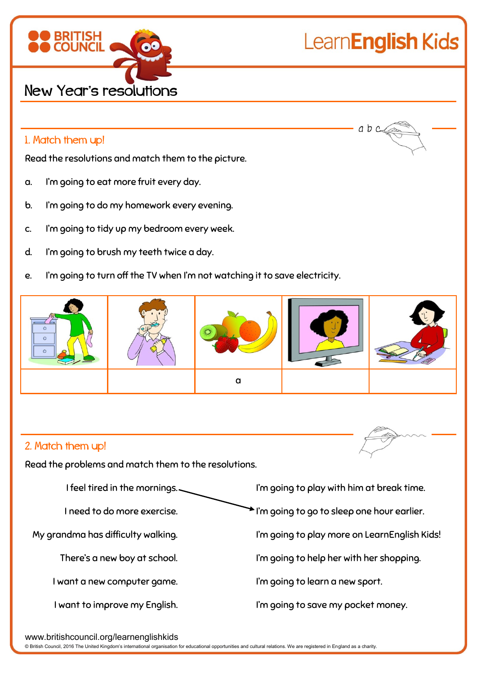

## LearnEnglish Kids

 $ab$   $c$ 

## 1. Match them up!

Read the resolutions and match them to the picture.

- a. I'm going to eat more fruit every day.
- b. I'm going to do my homework every evening.
- c. I'm going to tidy up my bedroom every week.
- d. I'm going to brush my teeth twice a day.
- e. I'm going to turn off the TV when I'm not watching it to save electricity.



## 2. Match them up!

Read the problems and match them to the resolutions.



www.britishcouncil.org/learnenglishkids

© British Council, 2016 The United Kingdom's international organisation for educational opportunities and cultural relations. We are registered in England as a charity.